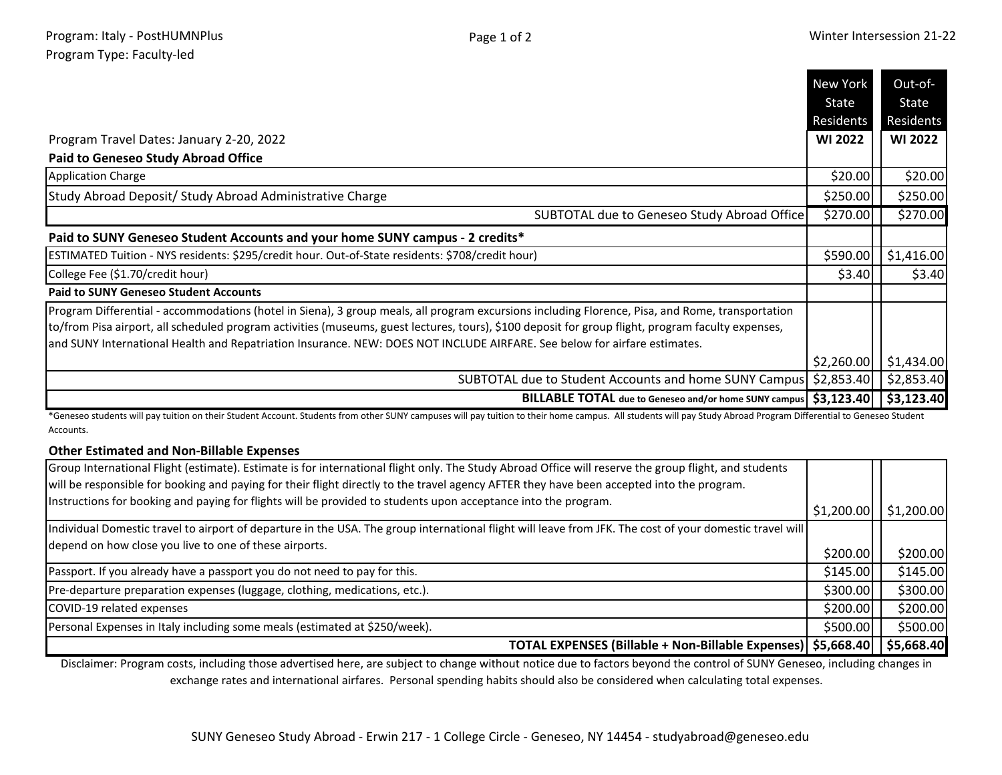|                                                                                                                                                                                                                                                                                                                                                                                                                                     | New York           | Out-of-               |
|-------------------------------------------------------------------------------------------------------------------------------------------------------------------------------------------------------------------------------------------------------------------------------------------------------------------------------------------------------------------------------------------------------------------------------------|--------------------|-----------------------|
|                                                                                                                                                                                                                                                                                                                                                                                                                                     | State<br>Residents | State<br>Residents    |
| Program Travel Dates: January 2-20, 2022                                                                                                                                                                                                                                                                                                                                                                                            | <b>WI 2022</b>     | <b>WI 2022</b>        |
| <b>Paid to Geneseo Study Abroad Office</b>                                                                                                                                                                                                                                                                                                                                                                                          |                    |                       |
| <b>Application Charge</b>                                                                                                                                                                                                                                                                                                                                                                                                           | \$20.00            | \$20.00               |
| Study Abroad Deposit/ Study Abroad Administrative Charge                                                                                                                                                                                                                                                                                                                                                                            | \$250.00           | \$250.00              |
| SUBTOTAL due to Geneseo Study Abroad Office                                                                                                                                                                                                                                                                                                                                                                                         | \$270.00           | \$270.00              |
| Paid to SUNY Geneseo Student Accounts and your home SUNY campus - 2 credits*                                                                                                                                                                                                                                                                                                                                                        |                    |                       |
| ESTIMATED Tuition - NYS residents: \$295/credit hour. Out-of-State residents: \$708/credit hour)                                                                                                                                                                                                                                                                                                                                    |                    | \$590.00   \$1,416.00 |
| College Fee (\$1.70/credit hour)                                                                                                                                                                                                                                                                                                                                                                                                    | \$3.40             | \$3.40                |
| <b>Paid to SUNY Geneseo Student Accounts</b>                                                                                                                                                                                                                                                                                                                                                                                        |                    |                       |
| Program Differential - accommodations (hotel in Siena), 3 group meals, all program excursions including Florence, Pisa, and Rome, transportation<br>to/from Pisa airport, all scheduled program activities (museums, guest lectures, tours), \$100 deposit for group flight, program faculty expenses,<br>and SUNY International Health and Repatriation Insurance. NEW: DOES NOT INCLUDE AIRFARE. See below for airfare estimates. |                    |                       |
|                                                                                                                                                                                                                                                                                                                                                                                                                                     | \$2,260.00         | \$1,434.00            |
| SUBTOTAL due to Student Accounts and home SUNY Campus \$2,853.40   \$2,853.40                                                                                                                                                                                                                                                                                                                                                       |                    |                       |
| BILLABLE TOTAL due to Geneseo and/or home SUNY campus   \$3,123.40   \$3,123.40                                                                                                                                                                                                                                                                                                                                                     |                    |                       |

\*Geneseo students will pay tuition on their Student Account. Students from other SUNY campuses will pay tuition to their home campus. All students will pay Study Abroad Program Differential to Geneseo Student Accounts.

## **Other Estimated and Non-Billable Expenses**

| Group International Flight (estimate). Estimate is for international flight only. The Study Abroad Office will reserve the group flight, and students    |            |            |
|----------------------------------------------------------------------------------------------------------------------------------------------------------|------------|------------|
| will be responsible for booking and paying for their flight directly to the travel agency AFTER they have been accepted into the program.                |            |            |
| Instructions for booking and paying for flights will be provided to students upon acceptance into the program.                                           | \$1,200.00 | \$1,200.00 |
| Individual Domestic travel to airport of departure in the USA. The group international flight will leave from JFK. The cost of your domestic travel will |            |            |
| depend on how close you live to one of these airports.                                                                                                   | \$200.00]  | \$200.00]  |
| Passport. If you already have a passport you do not need to pay for this.                                                                                | \$145.00   | \$145.00   |
| Pre-departure preparation expenses (luggage, clothing, medications, etc.).                                                                               | \$300.00   | \$300.00   |
| COVID-19 related expenses                                                                                                                                | \$200.00   | \$200.00   |
| Personal Expenses in Italy including some meals (estimated at \$250/week).                                                                               | \$500.00   | \$500.00   |
| TOTAL EXPENSES (Billable + Non-Billable Expenses)   \$5,668.40                                                                                           |            | \$5,668.40 |

Disclaimer: Program costs, including those advertised here, are subject to change without notice due to factors beyond the control of SUNY Geneseo, including changes in exchange rates and international airfares. Personal spending habits should also be considered when calculating total expenses.